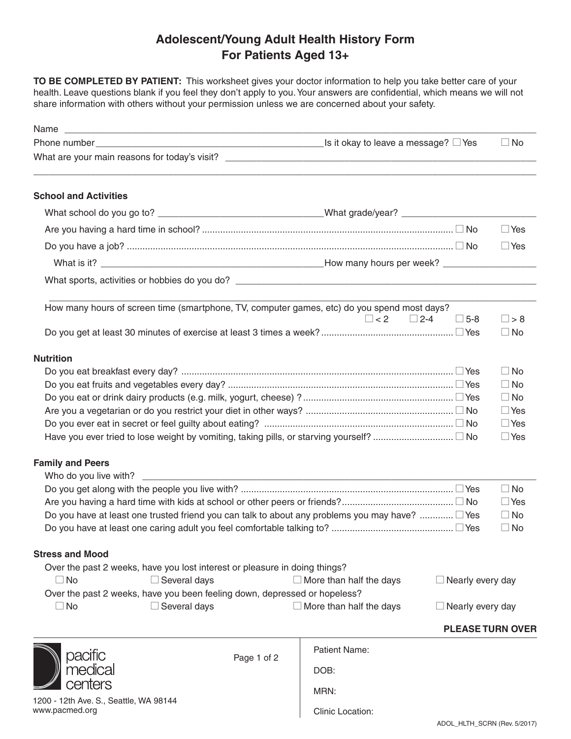## **Adolescent/Young Adult Health History Form For Patients Aged 13+**

**TO BE COMPLETED BY PATIENT:** This worksheet gives your doctor information to help you take better care of your health. Leave questions blank if you feel they don't apply to you. Your answers are confidential, which means we will not share information with others without your permission unless we are concerned about your safety.

|                                                                                                              |                                                                                             |                                |                         | $\Box$ No  |
|--------------------------------------------------------------------------------------------------------------|---------------------------------------------------------------------------------------------|--------------------------------|-------------------------|------------|
|                                                                                                              |                                                                                             |                                |                         |            |
| <b>School and Activities</b>                                                                                 |                                                                                             |                                |                         |            |
|                                                                                                              |                                                                                             |                                |                         |            |
|                                                                                                              |                                                                                             |                                |                         | $\Box$ Yes |
|                                                                                                              |                                                                                             |                                |                         | $\Box$ Yes |
|                                                                                                              |                                                                                             |                                |                         |            |
|                                                                                                              |                                                                                             |                                |                         |            |
|                                                                                                              | How many hours of screen time (smartphone, TV, computer games, etc) do you spend most days? |                                |                         |            |
|                                                                                                              |                                                                                             | $\Box$ < 2 $\Box$ 2-4          | $\Box$ 5-8              | $\Box$ > 8 |
|                                                                                                              |                                                                                             |                                |                         | $\Box$ No  |
| <b>Nutrition</b>                                                                                             |                                                                                             |                                |                         |            |
|                                                                                                              |                                                                                             |                                |                         | $\Box$ No  |
|                                                                                                              |                                                                                             | $\Box$ No                      |                         |            |
|                                                                                                              |                                                                                             |                                |                         | $\Box$ No  |
|                                                                                                              |                                                                                             |                                |                         | $\Box$ Yes |
|                                                                                                              |                                                                                             |                                |                         | $\Box$ Yes |
|                                                                                                              |                                                                                             |                                |                         | $\Box$ Yes |
| <b>Family and Peers</b>                                                                                      |                                                                                             |                                |                         |            |
|                                                                                                              |                                                                                             |                                |                         |            |
|                                                                                                              |                                                                                             |                                |                         | $\Box$ No  |
| $\Box$ Yes                                                                                                   |                                                                                             |                                |                         |            |
| Do you have at least one trusted friend you can talk to about any problems you may have?  □ Yes<br>$\Box$ No |                                                                                             |                                |                         |            |
|                                                                                                              |                                                                                             |                                |                         | $\Box$ No  |
| <b>Stress and Mood</b>                                                                                       |                                                                                             |                                |                         |            |
|                                                                                                              | Over the past 2 weeks, have you lost interest or pleasure in doing things?                  |                                |                         |            |
| $\Box$ No                                                                                                    | $\Box$ Several days                                                                         | $\Box$ More than half the days | Nearly every day        |            |
|                                                                                                              | Over the past 2 weeks, have you been feeling down, depressed or hopeless?                   |                                |                         |            |
| $\square$ No                                                                                                 | $\Box$ Several days                                                                         | $\Box$ More than half the days | Nearly every day        |            |
|                                                                                                              |                                                                                             |                                | <b>PLEASE TURN OVER</b> |            |
| pacific                                                                                                      | Page 1 of 2                                                                                 | <b>Patient Name:</b>           |                         |            |
| medica                                                                                                       |                                                                                             | DOB:                           |                         |            |
| :enters                                                                                                      |                                                                                             | MRN:                           |                         |            |
| 1200 - 12th Ave. S., Seattle, WA 98144                                                                       |                                                                                             |                                |                         |            |
| www.pacmed.org                                                                                               |                                                                                             | Clinic Location:               |                         |            |